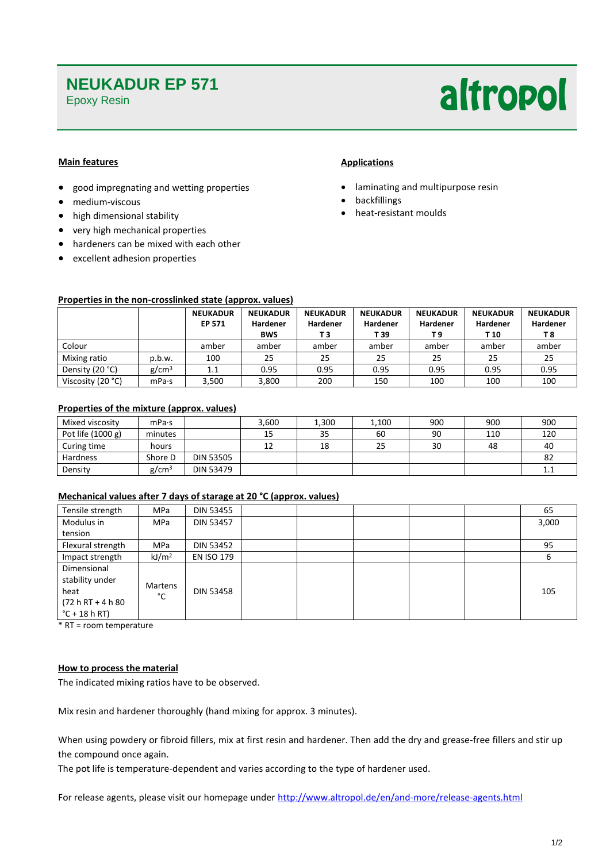### **NEUKADUR EP 571**

Epoxy Resin

# altropol

#### **Main features**

- good impregnating and wetting properties
- medium-viscous
- high dimensional stability
- very high mechanical properties
- hardeners can be mixed with each other
- excellent adhesion properties

#### **Applications**

- laminating and multipurpose resin
- backfillings
- heat-resistant moulds

#### **Properties in the non-crosslinked state (approx. values)**

|                   |                   | <b>NEUKADUR</b> | <b>NEUKADUR</b> | <b>NEUKADUR</b> | <b>NEUKADUR</b> | <b>NEUKADUR</b> | <b>NEUKADUR</b> | <b>NEUKADUR</b> |
|-------------------|-------------------|-----------------|-----------------|-----------------|-----------------|-----------------|-----------------|-----------------|
|                   |                   | EP 571          | Hardener        | Hardener        | Hardener        | Hardener        | Hardener        | Hardener        |
|                   |                   |                 | <b>BWS</b>      | Т3              | T 39            | T 9             | T 10            | T 8             |
| Colour            |                   | amber           | amber           | amber           | amber           | amber           | amber           | amber           |
| Mixing ratio      | p.b.w.            | 100             | 25              | 25              | 25              | 25              | 25              | 25              |
| Density (20 °C)   | g/cm <sup>3</sup> | 1.1             | 0.95            | 0.95            | 0.95            | 0.95            | 0.95            | 0.95            |
| Viscosity (20 °C) | mPa·s             | 3,500           | 3,800           | 200             | 150             | 100             | 100             | 100             |

#### **Properties of the mixture (approx. values)**

| Mixed viscosity     | mPa·s             |                  | 3.600 | 1.300 | 1,100 | 900 | 900 | 900 |
|---------------------|-------------------|------------------|-------|-------|-------|-----|-----|-----|
| Pot life $(1000 g)$ | minutes           |                  | 15    | 35    | 60    | 90  | 110 | 120 |
| Curing time         | hours             |                  | 12    | 18    | 25    | 30  | 48  | 40  |
| Hardness            | Shore D           | <b>DIN 53505</b> |       |       |       |     |     | 82  |
| Density             | g/cm <sup>3</sup> | DIN 53479        |       |       |       |     |     | ᆠ   |

#### **Mechanical values after 7 days of starage at 20 °C (approx. values)**

| Tensile strength                                                                  | <b>MPa</b>        | DIN 53455         |  |  | 65    |
|-----------------------------------------------------------------------------------|-------------------|-------------------|--|--|-------|
| Modulus in                                                                        | <b>MPa</b>        | DIN 53457         |  |  | 3,000 |
| tension                                                                           |                   |                   |  |  |       |
| Flexural strength                                                                 | <b>MPa</b>        | DIN 53452         |  |  | 95    |
| Impact strength                                                                   | kJ/m <sup>2</sup> | <b>EN ISO 179</b> |  |  | 6     |
| Dimensional<br>stability under<br>heat<br>$(72 h RT + 4 h 80)$<br>$°C + 18 h RT)$ | Martens<br>°C     | <b>DIN 53458</b>  |  |  | 105   |

\* RT = room temperature

#### **How to process the material**

The indicated mixing ratios have to be observed.

Mix resin and hardener thoroughly (hand mixing for approx. 3 minutes).

When using powdery or fibroid fillers, mix at first resin and hardener. Then add the dry and grease-free fillers and stir up the compound once again.

The pot life is temperature-dependent and varies according to the type of hardener used.

For release agents, please visit our homepage under<http://www.altropol.de/en/and-more/release-agents.html>